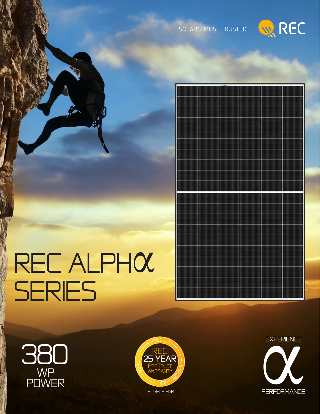



## REC ALPHOL SERIES